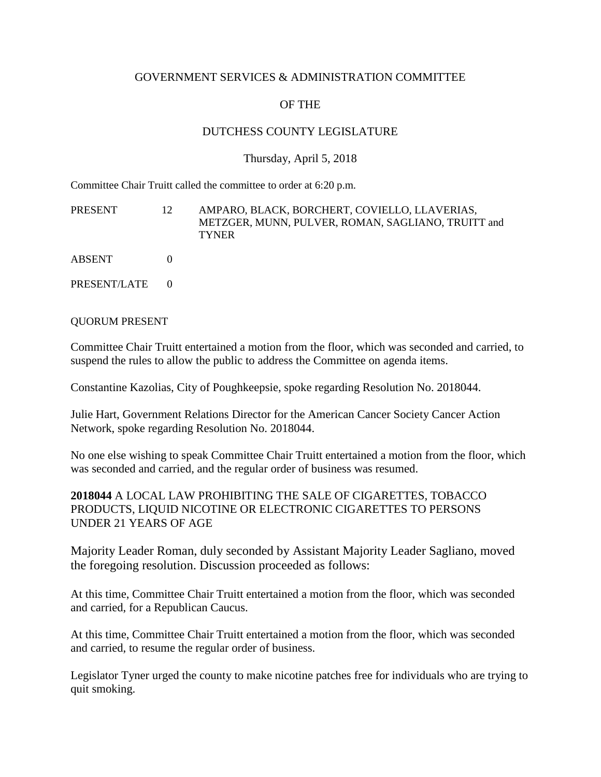#### GOVERNMENT SERVICES & ADMINISTRATION COMMITTEE

# OF THE

## DUTCHESS COUNTY LEGISLATURE

### Thursday, April 5, 2018

Committee Chair Truitt called the committee to order at 6:20 p.m.

| PRESENT | AMPARO. BLACK. BORCHERT. COVIELLO. LLAVERIAS.      |
|---------|----------------------------------------------------|
|         | METZGER, MUNN, PULVER, ROMAN, SAGLIANO, TRUITT and |
|         | <b>TYNER</b>                                       |
|         |                                                    |

ABSENT 0

PRESENT/LATE 0

#### QUORUM PRESENT

Committee Chair Truitt entertained a motion from the floor, which was seconded and carried, to suspend the rules to allow the public to address the Committee on agenda items.

Constantine Kazolias, City of Poughkeepsie, spoke regarding Resolution No. 2018044.

Julie Hart, Government Relations Director for the American Cancer Society Cancer Action Network, spoke regarding Resolution No. 2018044.

No one else wishing to speak Committee Chair Truitt entertained a motion from the floor, which was seconded and carried, and the regular order of business was resumed.

**2018044** A LOCAL LAW PROHIBITING THE SALE OF CIGARETTES, TOBACCO PRODUCTS, LIQUID NICOTINE OR ELECTRONIC CIGARETTES TO PERSONS UNDER 21 YEARS OF AGE

Majority Leader Roman, duly seconded by Assistant Majority Leader Sagliano, moved the foregoing resolution. Discussion proceeded as follows:

At this time, Committee Chair Truitt entertained a motion from the floor, which was seconded and carried, for a Republican Caucus.

At this time, Committee Chair Truitt entertained a motion from the floor, which was seconded and carried, to resume the regular order of business.

Legislator Tyner urged the county to make nicotine patches free for individuals who are trying to quit smoking.